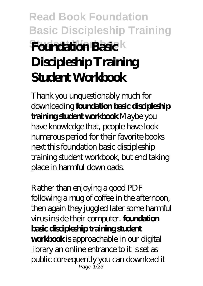# **Read Book Foundation Basic Discipleship Training Student Workbook Foundation Basic Discipleship Training Student Workbook**

Thank you unquestionably much for downloading **foundation basic discipleship training student workbook**.Maybe you have knowledge that, people have look numerous period for their favorite books next this foundation basic discipleship training student workbook, but end taking place in harmful downloads.

Rather than enjoying a good PDF following a mug of coffee in the afternoon, then again they juggled later some harmful virus inside their computer. **foundation basic discipleship training student workbook** is approachable in our digital library an online entrance to it is set as public consequently you can download it Page 1/23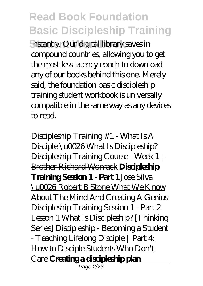instantly. Our digital library saves in compound countries, allowing you to get the most less latency epoch to download any of our books behind this one. Merely said, the foundation basic discipleship training student workbook is universally compatible in the same way as any devices to read.

Discipleship Training #1 - What Is A Disciple \u0026 What Is Discipleship? Discipleship Training Course Week 1+ Brother Richard Womack **Discipleship Training Session 1 - Part 1** Jose Silva \u0026 Robert B Stone What We Know About The Mind And Creating A Genius *Discipleship Training Session 1 - Part 2 Lesson 1 What Is Discipleship? [Thinking Series] Discipleship - Becoming a Student - Teaching* Lifelong Disciple | Part 4: How to Disciple Students Who Don't Care **Creating a discipleship plan** Page 2/23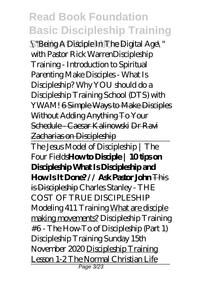S"Being A Disciple In The Digital Age\" with Pastor Rick Warren*Discipleship Training - Introduction to Spiritual Parenting Make Disciples - What Is Discipleship? Why YOU should do a Discipleship Training School (DTS) with YWAM!* 6 Simple Ways to Make Disciples Without Adding Anything To Your Schedule - Caesar Kalinowski Dr Ravi Zacharias on Discipleship

The Jesus Model of Discipleship | The Four Fields**How to Disciple | 10 tips on Discipleship What Is Discipleship and How Is It Done? // Ask Pastor John** This is Discipleship *Charles Stanley - THE COST OF TRUE DISCIPLESHIP Modeling 411 Training* What are disciple making movements? Discipleship Training #6 - The How-To of Discipleship (Part 1) *Discipleship Training Sunday 15th November 2020* Discipleship Training Lesson 1-2 The Normal Christian Life Page 3/23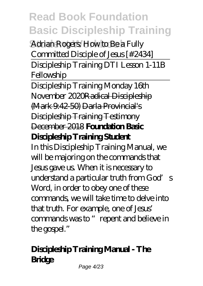Adrian Rogers: How to Be a Fully Committed Disciple of Jesus [#2434] Discipleship Training DTI Lesson 1-11B **Fellowship** 

Discipleship Training Monday 16th November 2020Radical Discipleship (Mark 9:42-50) Darla Provincial's Discipleship Training Testimony December 2018 **Foundation Basic Discipleship Training Student**

In this Discipleship Training Manual, we will be majoring on the commands that Jesus gave us. When it is necessary to understand a particular truth from  $G$  od's Word, in order to obey one of these commands, we will take time to delve into that truth. For example, one of Jesus' commands was to "repent and believe in the gospel."

### **Discipleship Training Manual - The Bridge**

Page 4/23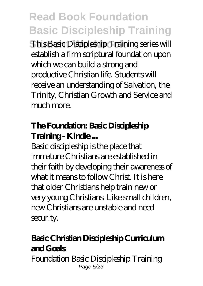**This Basic Discipleship Training series will** establish a firm scriptural foundation upon which we can build a strong and productive Christian life. Students will receive an understanding of Salvation, the Trinity, Christian Growth and Service and much more.

#### **The Foundation: Basic Discipleship Training - Kindle...**

Basic discipleship is the place that immature Christians are established in their faith by developing their awareness of what it means to follow Christ. It is here that older Christians help train new or very young Christians. Like small children, new Christians are unstable and need security.

### **Basic Christian Discipleship Curriculum and Goals**

Foundation Basic Discipleship Training Page 5/23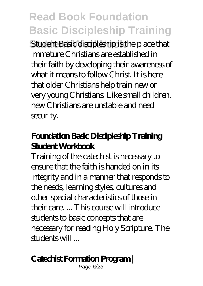Student Basic discipleship is the place that immature Christians are established in their faith by developing their awareness of what it means to follow Christ. It is here that older Christians help train new or very young Christians. Like small children, new Christians are unstable and need security.

#### **Foundation Basic Discipleship Training Student Workbook**

Training of the catechist is necessary to ensure that the faith is handed on in its integrity and in a manner that responds to the needs, learning styles, cultures and other special characteristics of those in their care. ... This course will introduce students to basic concepts that are necessary for reading Holy Scripture. The students will ...

### **Catechist Formation Program |**

Page 6/23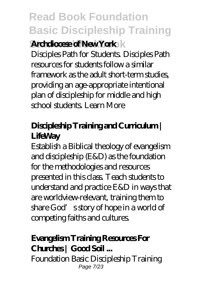### *<u>Archdiocese of New York</u>**k*

Disciples Path for Students. Disciples Path resources for students follow a similar framework as the adult short-term studies, providing an age-appropriate intentional plan of discipleship for middle and high school students. Learn More

### **Discipleship Training and Curriculum | LifeWay**

Establish a Biblical theology of evangelism and discipleship (E&D) as the foundation for the methodologies and resources presented in this class. Teach students to understand and practice E&D in ways that are worldview-relevant, training them to share God's story of hope in a world of competing faiths and cultures.

### **Evangelism Training Resources For** Churches | Good Soil ...

Foundation Basic Discipleship Training Page 7/23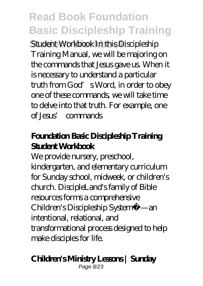Student Workbook In this Discipleship Training Manual, we will be majoring on the commands that Jesus gave us. When it is necessary to understand a particular truth from God's Word, in order to obey one of these commands, we will take time to delve into that truth. For example, one of Jesus' commands

#### **Foundation Basic Discipleship Training Student Workbook**

We provide nursery, preschool, kindergarten, and elementary curriculum for Sunday school, midweek, or children's church. DiscipleLand's family of Bible resources forms a comprehensive Children's Discipleship System™—an intentional, relational, and transformational process designed to help make disciples for life.

### **Children's Ministry Lessons | Sunday**

Page 8/23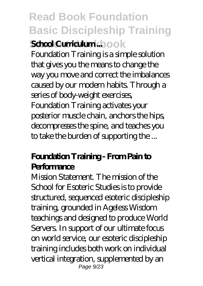### **Read Book Foundation Basic Discipleship Training Student Workbook School Curriculum ...**

Foundation Training is a simple solution that gives you the means to change the way you move and correct the imbalances caused by our modern habits. Through a series of body-weight exercises, Foundation Training activates your posterior muscle chain, anchors the hips, decompresses the spine, and teaches you to take the burden of supporting the ...

#### **Foundation Training - From Pain to Performance**

Mission Statement. The mission of the School for Esoteric Studies is to provide structured, sequenced esoteric discipleship training, grounded in Ageless Wisdom teachings and designed to produce World Servers. In support of our ultimate focus on world service, our esoteric discipleship training includes both work on individual vertical integration, supplemented by an Page  $9/23$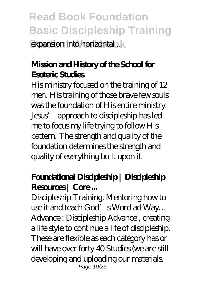**Read Book Foundation Basic Discipleship Training** expansion into horizontal ...

### **Mission and History of the School for Esoteric Studies**

His ministry focused on the training of 12 men. His training of those brave few souls was the foundation of His entire ministry. Jesus' approach to discipleship has led me to focus my life trying to follow His pattern. The strength and quality of the foundation determines the strength and quality of everything built upon it.

### **Foundational Discipleship | Discipleship Resources | Core ...**

Discipleship Training, Mentoring how to use it and teach God's Word ad Way… Advance : Discipleship Advance , creating a life style to continue a life of discipleship. These are flexible as each category has or will have over forty 40 Studies (we are still developing and uploading our materials. Page 10/23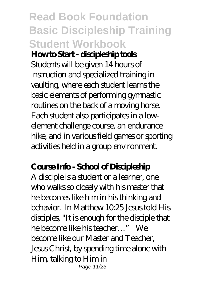## **Read Book Foundation Basic Discipleship Training Student Workbook**

#### **How to Start - discipleship tools**

Students will be given 14 hours of instruction and specialized training in vaulting, where each student learns the basic elements of performing gymnastic routines on the back of a moving horse. Each student also participates in a lowelement challenge course, an endurance hike, and in various field games or sporting activities held in a group environment.

#### **Course Info - School of Discipleship**

A disciple is a student or a learner, one who walks so closely with his master that he becomes like him in his thinking and behavior. In Matthew 10.25 Jesus told His disciples, "It is enough for the disciple that he become like his teacher…" We become like our Master and Teacher, Jesus Christ, by spending time alone with Him, talking to Him in Page 11/23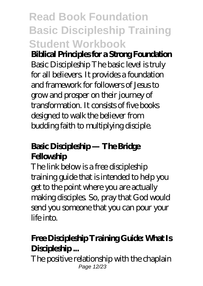## **Read Book Foundation Basic Discipleship Training Student Workbook**

### **Biblical Principles for a Strong Foundation**

Basic Discipleship The basic level is truly for all believers. It provides a foundation and framework for followers of Jesus to grow and prosper on their journey of transformation. It consists of five books designed to walk the believer from budding faith to multiplying disciple.

### **Basic Discipleship — The Bridge Fellowship**

The link below is a free discipleship training guide that is intended to help you get to the point where you are actually making disciples. So, pray that God would send you someone that you can pour your life into.

### **Free Discipleship Training Guide: What Is Discipleship ...**

The positive relationship with the chaplain Page 12/23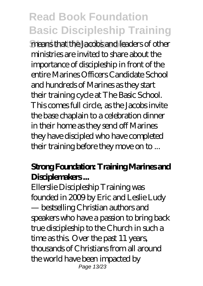**Student Workbook** means that the Jacobs and leaders of other ministries are invited to share about the importance of discipleship in front of the entire Marines Officers Candidate School and hundreds of Marines as they start their training cycle at The Basic School. This comes full circle, as the Jacobs invite the base chaplain to a celebration dinner in their home as they send off Marines they have discipled who have completed their training before they move on to ...

#### **Strong Foundation: Training Marines and Disciplemakers ...**

Ellerslie Discipleship Training was founded in 2009 by Eric and Leslie Ludy — bestselling Christian authors and speakers who have a passion to bring back true discipleship to the Church in such a time as this. Over the past 11 years, thousands of Christians from all around the world have been impacted by Page 13/23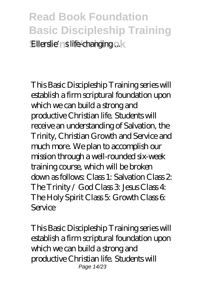### **Read Book Foundation Basic Discipleship Training Ellerslie'ns life-changing ... k**

This Basic Discipleship Training series will establish a firm scriptural foundation upon which we can build a strong and productive Christian life. Students will receive an understanding of Salvation, the Trinity, Christian Growth and Service and much more. We plan to accomplish our mission through a well-rounded six-week training course, which will be broken down as follows: Class 1: Salvation Class 2: The Trinity / God Class 3: Jesus Class 4: The Holy Spirit Class 5: Growth Class 6: Service

This Basic Discipleship Training series will establish a firm scriptural foundation upon which we can build a strong and productive Christian life. Students will Page 14/23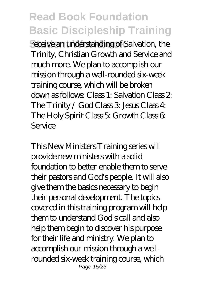receive an understanding of Salvation, the Trinity, Christian Growth and Service and much more. We plan to accomplish our mission through a well-rounded six-week training course, which will be broken down as follows: Class 1: Salvation Class 2: The Trinity /  $God Class 3$  Jesus Class  $4$ : The Holy Spirit Class 5: Growth Class 6: Service

This New Ministers Training series will provide new ministers with a solid foundation to better enable them to serve their pastors and God's people. It will also give them the basics necessary to begin their personal development. The topics covered in this training program will help them to understand God's call and also help them begin to discover his purpose for their life and ministry. We plan to accomplish our mission through a wellrounded six-week training course, which Page 15/23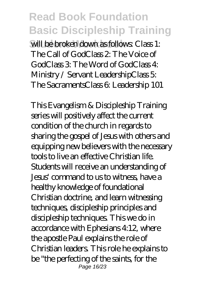**Student Workbook** will be broken down as follows: Class 1: The Call of GodClass 2: The Voice of GodClass 3: The Word of GodClass 4: Ministry / Servant LeadershipClass 5: The SacramentsClass 6: Leadership 101

This Evangelism & Discipleship Training series will positively affect the current condition of the church in regards to sharing the gospel of Jesus with others and equipping new believers with the necessary tools to live an effective Christian life. Students will receive an understanding of Jesus' command to us to witness, have a healthy knowledge of foundational Christian doctrine, and learn witnessing techniques, discipleship principles and discipleship techniques. This we do in accordance with Ephesians 4:12, where the apostle Paul explains the role of Christian leaders. This role he explains to be "the perfecting of the saints, for the Page 16/23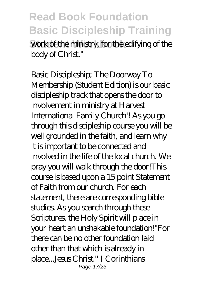**Read Book Foundation Basic Discipleship Training** work of the ministry, for the edifying of the body of Christ."

Basic Discipleship; The Doorway To Membership (Student Edition) is our basic discipleship track that opens the door to involvement in ministry at Harvest International Family Church'! As you go through this discipleship course you will be well grounded in the faith, and learn why it is important to be connected and involved in the life of the local church. We pray you will walk through the door!This course is based upon a 15 point Statement of Faith from our church. For each statement, there are corresponding bible studies. As you search through these Scriptures, the Holy Spirit will place in your heart an unshakable foundation!"For there can be no other foundation laid other than that which is already in place...Jesus Christ." I Corinthians Page 17/23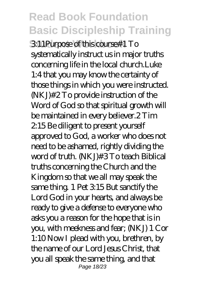**Student Workbook** 3:11Purpose of this course#1 To systematically instruct us in major truths concerning life in the local church.Luke 1:4 that you may know the certainty of those things in which you were instructed. (NKJ)#2 To provide instruction of the Word of God so that spiritual growth will be maintained in every believer.2 Tim 2:15 Be diligent to present yourself approved to God, a worker who does not need to be ashamed, rightly dividing the word of truth. (NKJ)#3 To teach Biblical truths concerning the Church and the Kingdom so that we all may speak the same thing. 1 Pet 3:15 But sanctify the Lord God in your hearts, and always be ready to give a defense to everyone who asks you a reason for the hope that is in you, with meekness and fear; (NKJ) 1 Cor 1:10 Now I plead with you, brethren, by the name of our Lord Jesus Christ, that you all speak the same thing, and that Page 18/23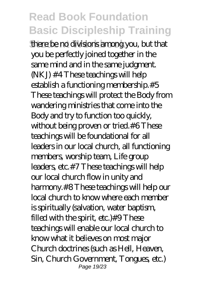**Student Workbook** there be no divisions among you, but that you be perfectly joined together in the same mind and in the same judgment. (NKJ) #4 These teachings will help establish a functioning membership.#5 These teachings will protect the Body from wandering ministries that come into the Body and try to function too quickly, without being proven or tried.#6 These teachings will be foundational for all leaders in our local church, all functioning members, worship team, Life group leaders, etc.#7 These teachings will help our local church flow in unity and harmony.#8 These teachings will help our local church to know where each member is spiritually (salvation, water baptism, filled with the spirit, etc.)#9 These teachings will enable our local church to know what it believes on most major Church doctrines (such as Hell, Heaven, Sin, Church Government, Tongues, etc.) Page 19/23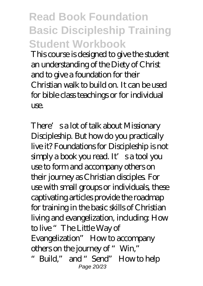**Read Book Foundation Basic Discipleship Training Student Workbook**

This course is designed to give the student an understanding of the Diety of Christ and to give a foundation for their Christian walk to build on. It can be used for bible class teachings or for individual use.

There's a lot of talk about Missionary Discipleship. But how do you practically live it? Foundations for Discipleship is not simply a book you read. It's a tool you use to form and accompany others on their journey as Christian disciples. For use with small groups or individuals, these captivating articles provide the roadmap for training in the basic skills of Christian living and evangelization, including: How to live "The Little Way of Evangelization" How to accompany others on the journey of "Win," "Build," and "Send" How to help Page 20/23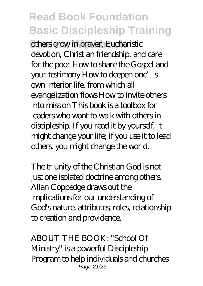**Sthers grow in prayer, Eucharistic** devotion, Christian friendship, and care for the poor How to share the Gospel and your testimony How to deepen one's own interior life, from which all evangelization flows How to invite others into mission This book is a toolbox for leaders who want to walk with others in discipleship. If you read it by yourself, it might change your life; if you use it to lead others, you might change the world.

The triunity of the Christian God is not just one isolated doctrine among others. Allan Coppedge draws out the implications for our understanding of God's nature, attributes, roles, relationship to creation and providence.

ABOUT THE BOOK: "School Of Ministry" is a powerful Discipleship Program to help individuals and churches Page 21/23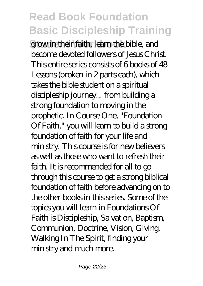grow in their faith, learn the bible, and become devoted followers of Jesus Christ. This entire series consists of 6 books of 48 Lessons (broken in 2 parts each), which takes the bible student on a spiritual discipleship journey... from building a strong foundation to moving in the prophetic. In Course One, "Foundation Of Faith," you will learn to build a strong foundation of faith for your life and ministry. This course is for new believers as well as those who want to refresh their faith. It is recommended for all to go through this course to get a strong biblical foundation of faith before advancing on to the other books in this series. Some of the topics you will learn in Foundations Of Faith is Discipleship, Salvation, Baptism, Communion, Doctrine, Vision, Giving, Walking In The Spirit, finding your ministry and much more.